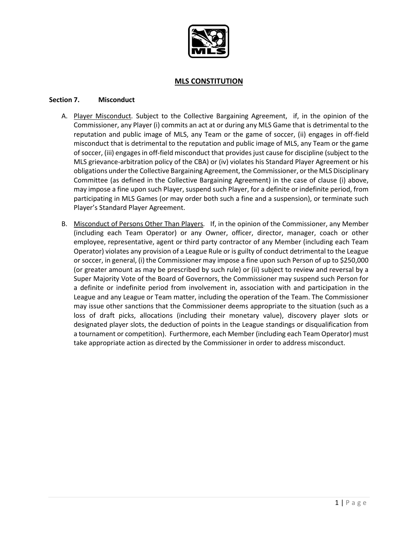

### **MLS CONSTITUTION**

#### **Section 7. Misconduct**

- A. Player Misconduct*.* Subject to the Collective Bargaining Agreement, if, in the opinion of the Commissioner, any Player (i) commits an act at or during any MLS Game that is detrimental to the reputation and public image of MLS, any Team or the game of soccer, (ii) engages in off-field misconduct that is detrimental to the reputation and public image of MLS, any Team or the game of soccer, (iii) engages in off-field misconduct that provides just cause for discipline (subject to the MLS grievance-arbitration policy of the CBA) or (iv) violates his Standard Player Agreement or his obligations under the Collective Bargaining Agreement, the Commissioner, or the MLS Disciplinary Committee (as defined in the Collective Bargaining Agreement) in the case of clause (i) above, may impose a fine upon such Player, suspend such Player, for a definite or indefinite period, from participating in MLS Games (or may order both such a fine and a suspension), or terminate such Player's Standard Player Agreement.
- B. Misconduct of Persons Other Than Players*.* If, in the opinion of the Commissioner, any Member (including each Team Operator) or any Owner, officer, director, manager, coach or other employee, representative, agent or third party contractor of any Member (including each Team Operator) violates any provision of a League Rule or is guilty of conduct detrimental to the League or soccer, in general, (i) the Commissioner may impose a fine upon such Person of up to \$250,000 (or greater amount as may be prescribed by such rule) or (ii) subject to review and reversal by a Super Majority Vote of the Board of Governors, the Commissioner may suspend such Person for a definite or indefinite period from involvement in, association with and participation in the League and any League or Team matter, including the operation of the Team. The Commissioner may issue other sanctions that the Commissioner deems appropriate to the situation (such as a loss of draft picks, allocations (including their monetary value), discovery player slots or designated player slots, the deduction of points in the League standings or disqualification from a tournament or competition). Furthermore, each Member (including each Team Operator) must take appropriate action as directed by the Commissioner in order to address misconduct.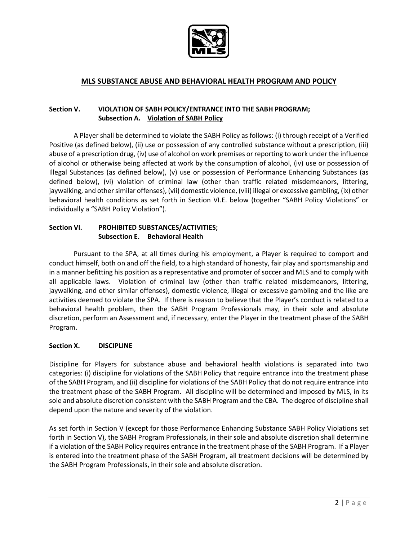

# **MLS SUBSTANCE ABUSE AND BEHAVIORAL HEALTH PROGRAM AND POLICY**

## **Section V. VIOLATION OF SABH POLICY/ENTRANCE INTO THE SABH PROGRAM; Subsection A. Violation of SABH Policy**

A Player shall be determined to violate the SABH Policy as follows: (i) through receipt of a Verified Positive (as defined below), (ii) use or possession of any controlled substance without a prescription, (iii) abuse of a prescription drug, (iv) use of alcohol on work premises or reporting to work under the influence of alcohol or otherwise being affected at work by the consumption of alcohol, (iv) use or possession of Illegal Substances (as defined below), (v) use or possession of Performance Enhancing Substances (as defined below), (vi) violation of criminal law (other than traffic related misdemeanors, littering, jaywalking, and other similar offenses), (vii) domestic violence, (viii) illegal or excessive gambling, (ix) other behavioral health conditions as set forth in Section VI.E. below (together "SABH Policy Violations" or individually a "SABH Policy Violation").

## **Section VI. PROHIBITED SUBSTANCES/ACTIVITIES; Subsection E. Behavioral Health**

Pursuant to the SPA, at all times during his employment, a Player is required to comport and conduct himself, both on and off the field, to a high standard of honesty, fair play and sportsmanship and in a manner befitting his position as a representative and promoter of soccer and MLS and to comply with all applicable laws. Violation of criminal law (other than traffic related misdemeanors, littering, jaywalking, and other similar offenses), domestic violence, illegal or excessive gambling and the like are activities deemed to violate the SPA. If there is reason to believe that the Player's conduct is related to a behavioral health problem, then the SABH Program Professionals may, in their sole and absolute discretion, perform an Assessment and, if necessary, enter the Player in the treatment phase of the SABH Program.

#### **Section X. DISCIPLINE**

Discipline for Players for substance abuse and behavioral health violations is separated into two categories: (i) discipline for violations of the SABH Policy that require entrance into the treatment phase of the SABH Program, and (ii) discipline for violations of the SABH Policy that do not require entrance into the treatment phase of the SABH Program. All discipline will be determined and imposed by MLS, in its sole and absolute discretion consistent with the SABH Program and the CBA. The degree of discipline shall depend upon the nature and severity of the violation.

As set forth in Section V (except for those Performance Enhancing Substance SABH Policy Violations set forth in Section V), the SABH Program Professionals, in their sole and absolute discretion shall determine if a violation of the SABH Policy requires entrance in the treatment phase of the SABH Program. If a Player is entered into the treatment phase of the SABH Program, all treatment decisions will be determined by the SABH Program Professionals, in their sole and absolute discretion.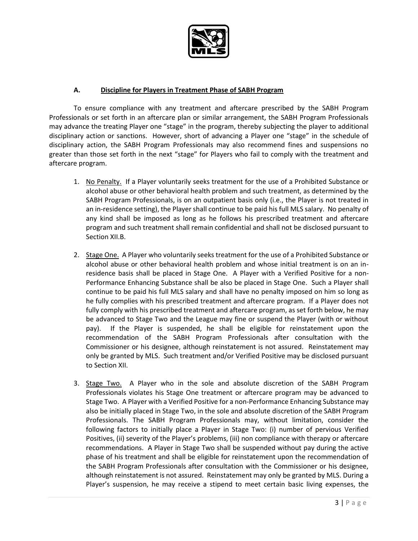

## **A. Discipline for Players in Treatment Phase of SABH Program**

To ensure compliance with any treatment and aftercare prescribed by the SABH Program Professionals or set forth in an aftercare plan or similar arrangement, the SABH Program Professionals may advance the treating Player one "stage" in the program, thereby subjecting the player to additional disciplinary action or sanctions. However, short of advancing a Player one "stage" in the schedule of disciplinary action, the SABH Program Professionals may also recommend fines and suspensions no greater than those set forth in the next "stage" for Players who fail to comply with the treatment and aftercare program.

- 1. No Penalty. If a Player voluntarily seeks treatment for the use of a Prohibited Substance or alcohol abuse or other behavioral health problem and such treatment, as determined by the SABH Program Professionals, is on an outpatient basis only (i.e., the Player is not treated in an in-residence setting), the Player shall continue to be paid his full MLS salary. No penalty of any kind shall be imposed as long as he follows his prescribed treatment and aftercare program and such treatment shall remain confidential and shall not be disclosed pursuant to Section XII.B.
- 2. Stage One. A Player who voluntarily seeks treatment for the use of a Prohibited Substance or alcohol abuse or other behavioral health problem and whose initial treatment is on an inresidence basis shall be placed in Stage One. A Player with a Verified Positive for a non-Performance Enhancing Substance shall be also be placed in Stage One. Such a Player shall continue to be paid his full MLS salary and shall have no penalty imposed on him so long as he fully complies with his prescribed treatment and aftercare program. If a Player does not fully comply with his prescribed treatment and aftercare program, as set forth below, he may be advanced to Stage Two and the League may fine or suspend the Player (with or without pay). If the Player is suspended, he shall be eligible for reinstatement upon the recommendation of the SABH Program Professionals after consultation with the Commissioner or his designee, although reinstatement is not assured. Reinstatement may only be granted by MLS. Such treatment and/or Verified Positive may be disclosed pursuant to Section XII.
- 3. Stage Two. A Player who in the sole and absolute discretion of the SABH Program Professionals violates his Stage One treatment or aftercare program may be advanced to Stage Two. A Player with a Verified Positive for a non-Performance Enhancing Substance may also be initially placed in Stage Two, in the sole and absolute discretion of the SABH Program Professionals. The SABH Program Professionals may, without limitation, consider the following factors to initially place a Player in Stage Two: (i) number of pervious Verified Positives, (ii) severity of the Player's problems, (iii) non compliance with therapy or aftercare recommendations. A Player in Stage Two shall be suspended without pay during the active phase of his treatment and shall be eligible for reinstatement upon the recommendation of the SABH Program Professionals after consultation with the Commissioner or his designee, although reinstatement is not assured. Reinstatement may only be granted by MLS. During a Player's suspension, he may receive a stipend to meet certain basic living expenses, the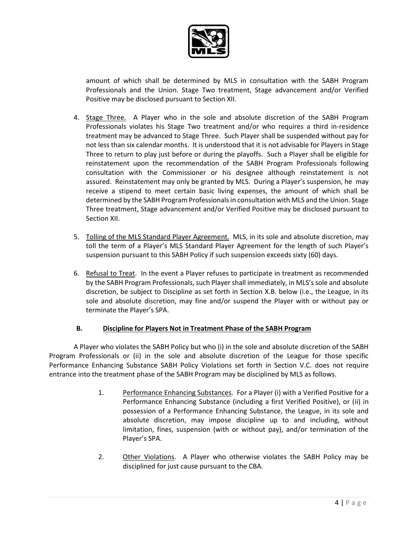

amount of which shall be determined by MLS in consultation with the SABH Program Professionals and the Union. Stage Two treatment, Stage advancement and/or Verified Positive may be disclosed pursuant to Section XII.

- 4. Stage Three. A Player who in the sole and absolute discretion of the SABH Program Professionals violates his Stage Two treatment and/or who requires a third in-residence treatment may be advanced to Stage Three. Such Player shall be suspended without pay for not less than six calendar months. It is understood that it is not advisable for Players in Stage Three to return to play just before or during the playoffs. Such a Player shall be eligible for reinstatement upon the recommendation of the SABH Program Professionals following consultation with the Commissioner or his designee although reinstatement is not assured. Reinstatement may only be granted by MLS. During a Player's suspension, he may receive a stipend to meet certain basic living expenses, the amount of which shall be determined by the SABH Program Professionals in consultation with MLS and the Union. Stage Three treatment, Stage advancement and/or Verified Positive may be disclosed pursuant to Section XII.
- 5. Tolling of the MLS Standard Player Agreement. MLS, in its sole and absolute discretion, may toll the term of a Player's MLS Standard Player Agreement for the length of such Player's suspension pursuant to this SABH Policy if such suspension exceeds sixty (60) days.
- 6. Refusal to Treat. In the event a Player refuses to participate in treatment as recommended by the SABH Program Professionals, such Player shall immediately, in MLS's sole and absolute discretion, be subject to Discipline as set forth in Section X.B. below (i.e., the League, in its sole and absolute discretion, may fine and/or suspend the Player with or without pay or terminate the Player's SPA.

## **B. Discipline for Players Not in Treatment Phase of the SABH Program**

A Player who violates the SABH Policy but who (i) in the sole and absolute discretion of the SABH Program Professionals or (ii) in the sole and absolute discretion of the League for those specific Performance Enhancing Substance SABH Policy Violations set forth in Section V.C. does not require entrance into the treatment phase of the SABH Program may be disciplined by MLS as follows.

- 1. Performance Enhancing Substances. For a Player (i) with a Verified Positive for a Performance Enhancing Substance (including a first Verified Positive), or (ii) in possession of a Performance Enhancing Substance, the League, in its sole and absolute discretion, may impose discipline up to and including, without limitation, fines, suspension (with or without pay), and/or termination of the Player's SPA.
- 2. Other Violations. A Player who otherwise violates the SABH Policy may be disciplined for just cause pursuant to the CBA.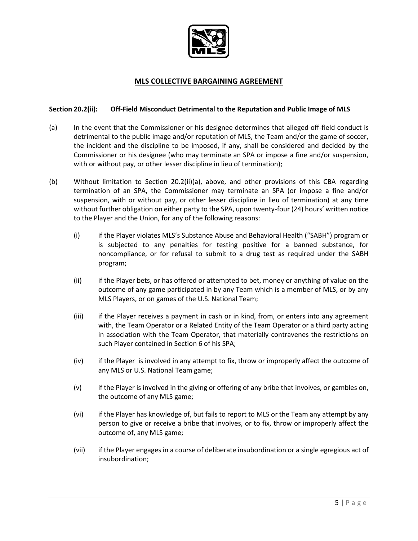

# **MLS COLLECTIVE BARGAINING AGREEMENT**

### **Section 20.2(ii): Off-Field Misconduct Detrimental to the Reputation and Public Image of MLS**

- (a) In the event that the Commissioner or his designee determines that alleged off-field conduct is detrimental to the public image and/or reputation of MLS, the Team and/or the game of soccer, the incident and the discipline to be imposed, if any, shall be considered and decided by the Commissioner or his designee (who may terminate an SPA or impose a fine and/or suspension, with or without pay, or other lesser discipline in lieu of termination);
- (b) Without limitation to Section 20.2(ii)(a), above, and other provisions of this CBA regarding termination of an SPA, the Commissioner may terminate an SPA (or impose a fine and/or suspension, with or without pay, or other lesser discipline in lieu of termination) at any time without further obligation on either party to the SPA, upon twenty-four (24) hours' written notice to the Player and the Union, for any of the following reasons:
	- (i) if the Player violates MLS's Substance Abuse and Behavioral Health ("SABH") program or is subjected to any penalties for testing positive for a banned substance, for noncompliance, or for refusal to submit to a drug test as required under the SABH program;
	- (ii) if the Player bets, or has offered or attempted to bet, money or anything of value on the outcome of any game participated in by any Team which is a member of MLS, or by any MLS Players, or on games of the U.S. National Team;
	- (iii) if the Player receives a payment in cash or in kind, from, or enters into any agreement with, the Team Operator or a Related Entity of the Team Operator or a third party acting in association with the Team Operator, that materially contravenes the restrictions on such Player contained in Section 6 of his SPA;
	- (iv) if the Player is involved in any attempt to fix, throw or improperly affect the outcome of any MLS or U.S. National Team game;
	- (v) if the Player is involved in the giving or offering of any bribe that involves, or gambles on, the outcome of any MLS game;
	- (vi) if the Player has knowledge of, but fails to report to MLS or the Team any attempt by any person to give or receive a bribe that involves, or to fix, throw or improperly affect the outcome of, any MLS game;
	- (vii) if the Player engages in a course of deliberate insubordination or a single egregious act of insubordination;